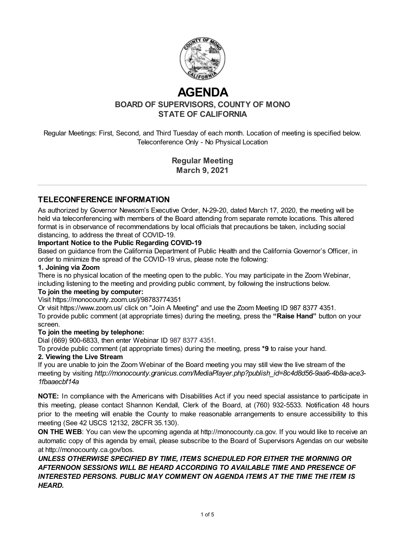

# **AGENDA**

**BOARD OF SUPERVISORS, COUNTY OF MONO STATE OF CALIFORNIA**

Regular Meetings: First, Second, and Third Tuesday of each month. Location of meeting is specified below. Teleconference Only - No Physical Location

> **Regular Meeting March 9, 2021**

#### **TELECONFERENCE INFORMATION**

As authorized by Governor Newsom's Executive Order, N-29-20, dated March 17, 2020, the meeting will be held via teleconferencing with members of the Board attending from separate remote locations. This altered format is in observance of recommendations by local officials that precautions be taken, including social distancing, to address the threat of COVID-19.

#### **Important Notice to the Public Regarding COVID-19**

Based on guidance from the California Department of Public Health and the California Governor's Officer, in order to minimize the spread of the COVID-19 virus, please note the following:

#### **1. Joining via Zoom**

There is no physical location of the meeting open to the public. You may participate in the Zoom Webinar, including listening to the meeting and providing public comment, by following the instructions below.

#### **To join the meeting by computer:**

#### Visit https://monocounty.zoom.us/j/98783774351

Or visit https://www.zoom.us/ click on "Join A Meeting" and use the Zoom Meeting ID 987 8377 4351. To provide public comment (at appropriate times) during the meeting, press the **"Raise Hand"** button on your screen.

#### **To join the meeting by telephone:**

Dial (669) 900-6833, then enter Webinar ID 987 8377 4351.

To provide public comment (at appropriate times) during the meeting, press **\*9** to raise your hand.

#### **2. Viewing the Live Stream**

If you are unable to join the Zoom Webinar of the Board meeting you may still view the live stream of the meeting by visiting *http://monocounty.granicus.com/MediaPlayer.php?publish\_id=8c4d8d56-9aa6-4b8a-ace3- 1fbaaecbf14a*

**NOTE:** In compliance with the Americans with Disabilities Act if you need special assistance to participate in this meeting, please contact Shannon Kendall, Clerk of the Board, at (760) 932-5533. Notification 48 hours prior to the meeting will enable the County to make reasonable arrangements to ensure accessibility to this meeting (See 42 USCS 12132, 28CFR 35.130).

**ON THE WEB:** You can view the upcoming agenda at [http://monocounty.ca.gov](http://monocounty.ca.gov/). If you would like to receive an automatic copy of this agenda by email, please subscribe to the Board of Supervisors Agendas on our website at<http://monocounty.ca.gov/bos>.

*UNLESS OTHERWISE SPECIFIED BY TIME, ITEMS SCHEDULED FOR EITHER THE MORNING OR AFTERNOON SESSIONS WILL BE HEARD ACCORDING TO AVAILABLE TIME AND PRESENCE OF INTERESTED PERSONS. PUBLIC MAY COMMENT ON AGENDA ITEMS AT THE TIME THE ITEM IS HEARD.*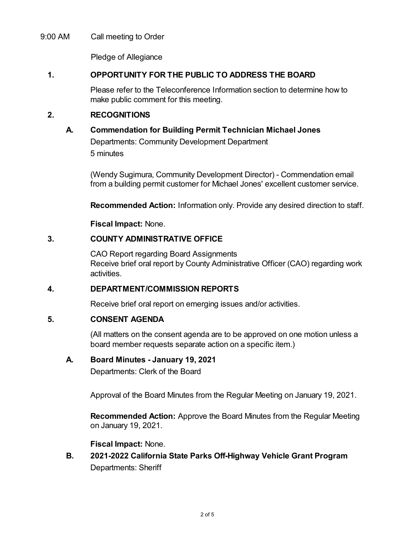#### 9:00 AM Call meeting to Order

Pledge of Allegiance

#### **1. OPPORTUNITY FOR THE PUBLIC TO ADDRESS THE BOARD**

Please refer to the Teleconference Information section to determine how to make public comment for this meeting.

#### **2. RECOGNITIONS**

# **A. Commendation for Building Permit Technician Michael Jones**

Departments: Community Development Department 5 minutes

(Wendy Sugimura, Community Development Director) - Commendation email from a building permit customer for Michael Jones' excellent customer service.

**Recommended Action:** Information only. Provide any desired direction to staff.

**Fiscal Impact:** None.

# **3. COUNTY ADMINISTRATIVE OFFICE**

CAO Report regarding Board Assignments Receive brief oral report by County Administrative Officer (CAO) regarding work activities.

# **4. DEPARTMENT/COMMISSION REPORTS**

Receive brief oral report on emerging issues and/or activities.

# **5. CONSENT AGENDA**

(All matters on the consent agenda are to be approved on one motion unless a board member requests separate action on a specific item.)

#### **A. Board Minutes - January 19, 2021**

Departments: Clerk of the Board

Approval of the Board Minutes from the Regular Meeting on January 19, 2021.

**Recommended Action:** Approve the Board Minutes from the Regular Meeting on January 19, 2021.

#### **Fiscal Impact:** None.

**B. 2021-2022 California State Parks Off-Highway Vehicle Grant Program** Departments: Sheriff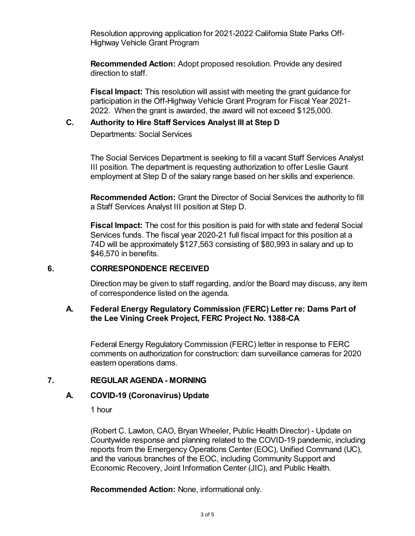Resolution approving application for 2021-2022 California State Parks Off-Highway Vehicle Grant Program

**Recommended Action:** Adopt proposed resolution. Provide any desired direction to staff.

**Fiscal Impact:** This resolution will assist with meeting the grant guidance for participation in the Off-Highway Vehicle Grant Program for Fiscal Year 2021- 2022. When the grant is awarded, the award will not exceed \$125,000.

# **C. Authority to Hire Staff Services Analyst III at Step D**

Departments: Social Services

The Social Services Department is seeking to fill a vacant Staff Services Analyst III position. The department is requesting authorization to offer Leslie Gaunt employment at Step D of the salary range based on her skills and experience.

**Recommended Action:** Grant the Director of Social Services the authority to fill a Staff Services Analyst III position at Step D.

**Fiscal Impact:** The cost for this position is paid for with state and federal Social Services funds. The fiscal year 2020-21 full fiscal impact for this position at a 74D will be approximately \$127,563 consisting of \$80,993 in salary and up to \$46,570 in benefits.

#### **6. CORRESPONDENCE RECEIVED**

Direction may be given to staff regarding, and/or the Board may discuss, any item of correspondence listed on the agenda.

# **A. Federal Energy Regulatory Commission (FERC) Letter re: Dams Part of the Lee Vining Creek Project, FERC Project No. 1388-CA**

Federal Energy Regulatory Commission (FERC) letter in response to FERC comments on authorization for construction: dam surveillance cameras for 2020 eastern operations dams.

# **7. REGULAR AGENDA - MORNING**

# **A. COVID-19 (Coronavirus) Update**

1 hour

(Robert C. Lawton, CAO, Bryan Wheeler, Public Health Director) - Update on Countywide response and planning related to the COVID-19 pandemic, including reports from the Emergency Operations Center (EOC), Unified Command (UC), and the various branches of the EOC, including Community Support and Economic Recovery, Joint Information Center (JIC), and Public Health.

**Recommended Action:** None, informational only.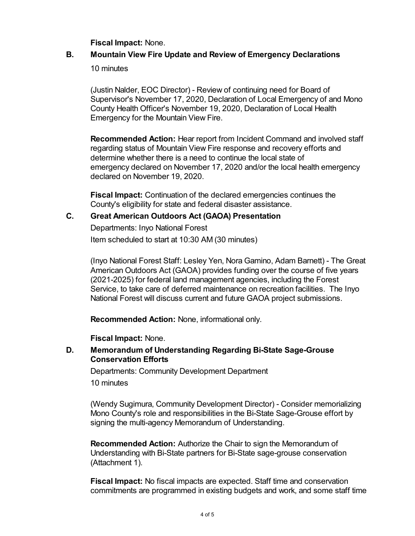**Fiscal Impact:** None.

# **B. Mountain View Fire Update and Review of Emergency Declarations**

10 minutes

(Justin Nalder, EOC Director) - Review of continuing need for Board of Supervisor's November 17, 2020, Declaration of Local Emergency of and Mono County Health Officer's November 19, 2020, Declaration of Local Health Emergency for the Mountain View Fire.

**Recommended Action:** Hear report from Incident Command and involved staff regarding status of Mountain View Fire response and recovery efforts and determine whether there is a need to continue the local state of emergency declared on November 17, 2020 and/or the local health emergency declared on November 19, 2020.

**Fiscal Impact:** Continuation of the declared emergencies continues the County's eligibility for state and federal disaster assistance.

# **C. Great American Outdoors Act (GAOA) Presentation**

Departments: Inyo National Forest Item scheduled to start at 10:30 AM (30 minutes)

(Inyo National Forest Staff: Lesley Yen, Nora Gamino, Adam Barnett) - The Great American Outdoors Act (GAOA) provides funding over the course of five years (2021-2025) for federal land management agencies, including the Forest Service, to take care of deferred maintenance on recreation facilities. The Inyo National Forest will discuss current and future GAOA project submissions.

**Recommended Action:** None, informational only.

**Fiscal Impact:** None.

# **D. Memorandum of Understanding Regarding Bi-State Sage-Grouse Conservation Efforts**

Departments: Community Development Department

10 minutes

(Wendy Sugimura, Community Development Director) - Consider memorializing Mono County's role and responsibilities in the Bi-State Sage-Grouse effort by signing the multi-agency Memorandum of Understanding.

**Recommended Action:** Authorize the Chair to sign the Memorandum of Understanding with Bi-State partners for Bi-State sage-grouse conservation (Attachment 1).

**Fiscal Impact:** No fiscal impacts are expected. Staff time and conservation commitments are programmed in existing budgets and work, and some staff time